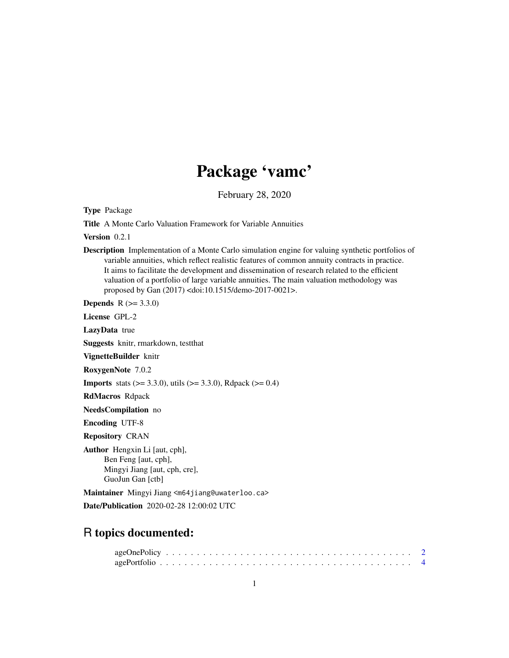# Package 'vamc'

February 28, 2020

Type Package

Title A Monte Carlo Valuation Framework for Variable Annuities

Version 0.2.1

Description Implementation of a Monte Carlo simulation engine for valuing synthetic portfolios of variable annuities, which reflect realistic features of common annuity contracts in practice. It aims to facilitate the development and dissemination of research related to the efficient valuation of a portfolio of large variable annuities. The main valuation methodology was proposed by Gan (2017) <doi:10.1515/demo-2017-0021>.

**Depends**  $R (= 3.3.0)$ 

License GPL-2

LazyData true

Suggests knitr, rmarkdown, testthat

VignetteBuilder knitr

RoxygenNote 7.0.2

**Imports** stats  $(>= 3.3.0)$ , utils  $(>= 3.3.0)$ , Rdpack  $(>= 0.4)$ 

RdMacros Rdpack

NeedsCompilation no

Encoding UTF-8

Repository CRAN

Author Hengxin Li [aut, cph], Ben Feng [aut, cph], Mingyi Jiang [aut, cph, cre], GuoJun Gan [ctb]

Maintainer Mingyi Jiang <m64jiang@uwaterloo.ca> Date/Publication 2020-02-28 12:00:02 UTC

# R topics documented: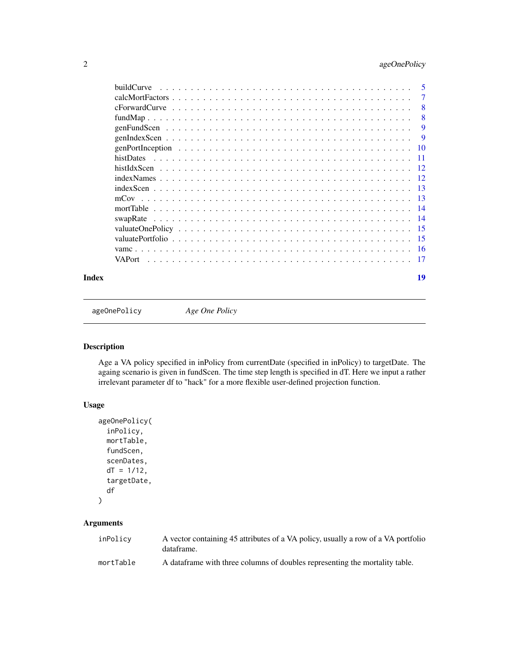<span id="page-1-0"></span>

|       | buildCurve | -5  |
|-------|------------|-----|
|       |            | 7   |
|       |            | -8  |
|       |            | - 8 |
|       |            | -9  |
|       |            |     |
|       |            |     |
|       |            |     |
|       |            |     |
|       |            |     |
|       |            |     |
|       |            |     |
|       |            |     |
|       |            |     |
|       |            |     |
|       |            |     |
|       |            |     |
|       |            |     |
| Index |            | 19  |

ageOnePolicy *Age One Policy*

# Description

Age a VA policy specified in inPolicy from currentDate (specified in inPolicy) to targetDate. The againg scenario is given in fundScen. The time step length is specified in dT. Here we input a rather irrelevant parameter df to "hack" for a more flexible user-defined projection function.

# Usage

```
ageOnePolicy(
  inPolicy,
 mortTable,
  fundScen,
  scenDates,
  dT = 1/12,
  targetDate,
  df
)
```
# Arguments

| inPolicy  | A vector containing 45 attributes of a VA policy, usually a row of a VA portfolio<br>dataframe. |
|-----------|-------------------------------------------------------------------------------------------------|
| mortTable | A data frame with three columns of doubles representing the mortality table.                    |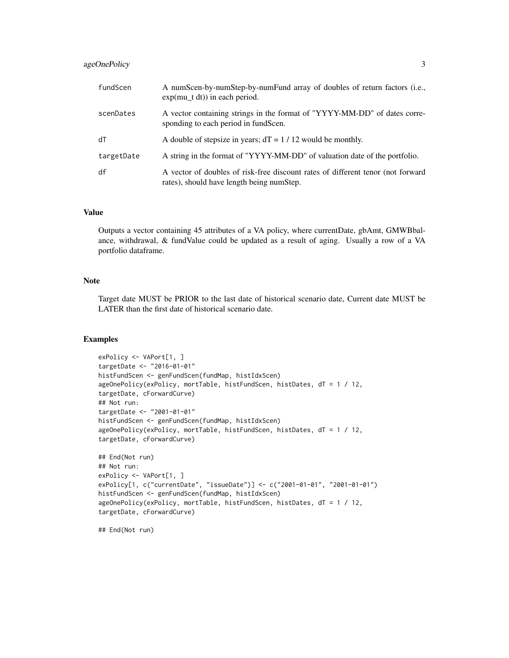# ageOnePolicy 3

| fundScen   | A numScen-by-numStep-by-numFund array of doubles of return factors (i.e.,<br>$exp(mu_t dt))$ in each period.                 |
|------------|------------------------------------------------------------------------------------------------------------------------------|
| scenDates  | A vector containing strings in the format of "YYYY-MM-DD" of dates corre-<br>sponding to each period in fundScen.            |
| dT         | A double of stepsize in years; $dT = 1 / 12$ would be monthly.                                                               |
| targetDate | A string in the format of "YYYY-MM-DD" of valuation date of the portfolio.                                                   |
| df         | A vector of doubles of risk-free discount rates of different tenor (not forward<br>rates), should have length being numStep. |

### Value

Outputs a vector containing 45 attributes of a VA policy, where currentDate, gbAmt, GMWBbalance, withdrawal, & fundValue could be updated as a result of aging. Usually a row of a VA portfolio dataframe.

### Note

Target date MUST be PRIOR to the last date of historical scenario date, Current date MUST be LATER than the first date of historical scenario date.

# Examples

```
exPolicy <- VAPort[1, ]
targetDate <- "2016-01-01"
histFundScen <- genFundScen(fundMap, histIdxScen)
ageOnePolicy(exPolicy, mortTable, histFundScen, histDates, dT = 1 / 12,
targetDate, cForwardCurve)
## Not run:
targetDate <- "2001-01-01"
histFundScen <- genFundScen(fundMap, histIdxScen)
ageOnePolicy(exPolicy, mortTable, histFundScen, histDates, dT = 1 / 12,
targetDate, cForwardCurve)
## End(Not run)
## Not run:
exPolicy <- VAPort[1, ]
exPolicy[1, c("currentDate", "issueDate")] <- c("2001-01-01", "2001-01-01")
histFundScen <- genFundScen(fundMap, histIdxScen)
ageOnePolicy(exPolicy, mortTable, histFundScen, histDates, dT = 1 / 12,
targetDate, cForwardCurve)
```
## End(Not run)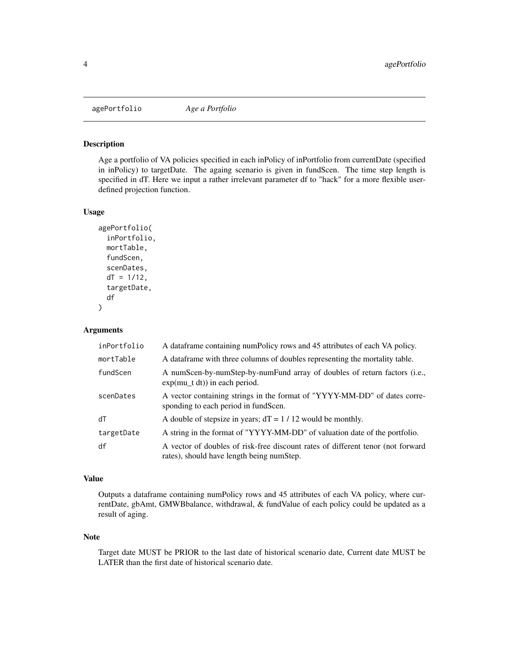<span id="page-3-0"></span>

Age a portfolio of VA policies specified in each inPolicy of inPortfolio from currentDate (specified in inPolicy) to targetDate. The againg scenario is given in fundScen. The time step length is specified in dT. Here we input a rather irrelevant parameter df to "hack" for a more flexible userdefined projection function.

### Usage

```
agePortfolio(
  inPortfolio,
 mortTable,
  fundScen,
  scenDates,
  dT = 1/12,
  targetDate,
  df
)
```
### Arguments

| inPortfolio | A data frame containing num Policy rows and 45 attributes of each VA policy.                                                 |
|-------------|------------------------------------------------------------------------------------------------------------------------------|
| mortTable   | A data frame with three columns of doubles representing the mortality table.                                                 |
| fundScen    | A numScen-by-numStep-by-numFund array of doubles of return factors (i.e.,<br>$exp(mu_t dt)$ in each period.                  |
| scenDates   | A vector containing strings in the format of "YYYY-MM-DD" of dates corre-<br>sponding to each period in fundScen.            |
| dT          | A double of stepsize in years; $dT = 1 / 12$ would be monthly.                                                               |
| targetDate  | A string in the format of "YYYY-MM-DD" of valuation date of the portfolio.                                                   |
| df          | A vector of doubles of risk-free discount rates of different tenor (not forward<br>rates), should have length being numStep. |

## Value

Outputs a dataframe containing numPolicy rows and 45 attributes of each VA policy, where currentDate, gbAmt, GMWBbalance, withdrawal, & fundValue of each policy could be updated as a result of aging.

### Note

Target date MUST be PRIOR to the last date of historical scenario date, Current date MUST be LATER than the first date of historical scenario date.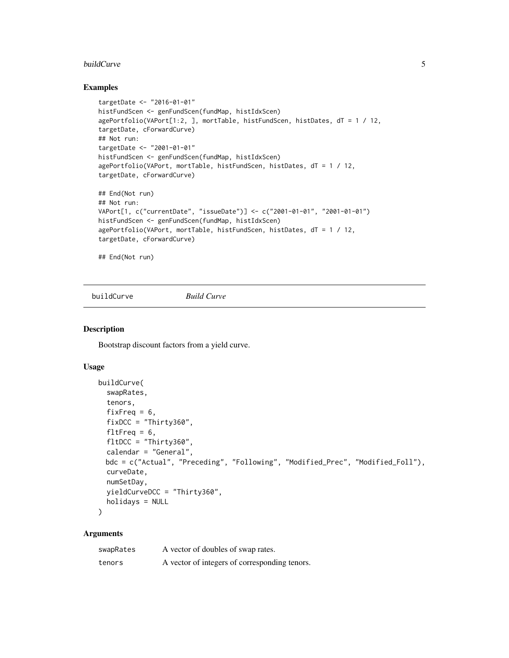### <span id="page-4-0"></span>buildCurve 5

### Examples

```
targetDate <- "2016-01-01"
histFundScen <- genFundScen(fundMap, histIdxScen)
agePortfolio(VAPort[1:2, ], mortTable, histFundScen, histDates, dT = 1 / 12,
targetDate, cForwardCurve)
## Not run:
targetDate <- "2001-01-01"
histFundScen <- genFundScen(fundMap, histIdxScen)
agePortfolio(VAPort, mortTable, histFundScen, histDates, dT = 1 / 12,
targetDate, cForwardCurve)
## End(Not run)
## Not run:
VAPort[1, c("currentDate", "issueDate")] <- c("2001-01-01", "2001-01-01")
histFundScen <- genFundScen(fundMap, histIdxScen)
agePortfolio(VAPort, mortTable, histFundScen, histDates, dT = 1 / 12,
targetDate, cForwardCurve)
```
## End(Not run)

buildCurve *Build Curve*

# Description

Bootstrap discount factors from a yield curve.

# Usage

```
buildCurve(
  swapRates,
  tenors,
  fixFreq = 6,
  fixDCC = "Thirty360",
  fltFreq = 6,
  fltDCC = "Thirty360",
  calendar = "General",
 bdc = c("Actual", "Preceding", "Following", "Modified_Prec", "Modified_Foll"),
 curveDate,
  numSetDay,
  yieldCurveDCC = "Thirty360",
  holidays = NULL
\mathcal{L}
```
# Arguments

| swapRates | A vector of doubles of swap rates.            |
|-----------|-----------------------------------------------|
| tenors    | A vector of integers of corresponding tenors. |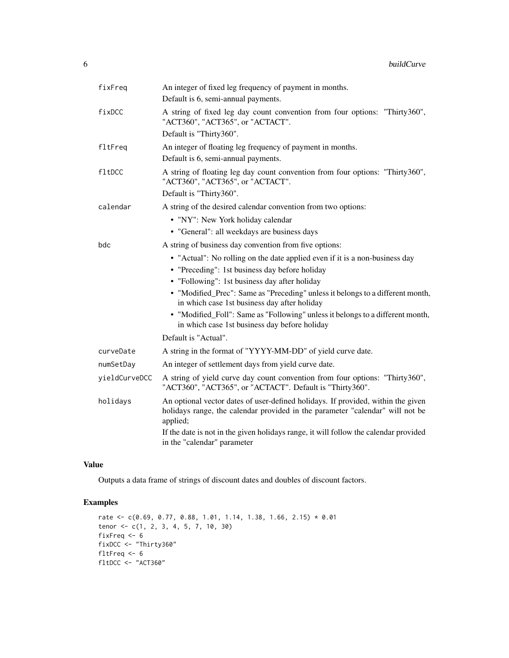| fixFreq       | An integer of fixed leg frequency of payment in months.<br>Default is 6, semi-annual payments.                                                                                                                                                                                                                                                                                                                                                      |
|---------------|-----------------------------------------------------------------------------------------------------------------------------------------------------------------------------------------------------------------------------------------------------------------------------------------------------------------------------------------------------------------------------------------------------------------------------------------------------|
| fixDCC        | A string of fixed leg day count convention from four options: "Thirty360",<br>"ACT360", "ACT365", or "ACTACT".                                                                                                                                                                                                                                                                                                                                      |
|               | Default is "Thirty360".                                                                                                                                                                                                                                                                                                                                                                                                                             |
| fltFreq       | An integer of floating leg frequency of payment in months.<br>Default is 6, semi-annual payments.                                                                                                                                                                                                                                                                                                                                                   |
| fltDCC        | A string of floating leg day count convention from four options: "Thirty360",<br>"ACT360", "ACT365", or "ACTACT".                                                                                                                                                                                                                                                                                                                                   |
|               | Default is "Thirty360".                                                                                                                                                                                                                                                                                                                                                                                                                             |
| calendar      | A string of the desired calendar convention from two options:                                                                                                                                                                                                                                                                                                                                                                                       |
|               | • "NY": New York holiday calendar                                                                                                                                                                                                                                                                                                                                                                                                                   |
|               | • "General": all weekdays are business days                                                                                                                                                                                                                                                                                                                                                                                                         |
| bdc           | A string of business day convention from five options:                                                                                                                                                                                                                                                                                                                                                                                              |
|               | • "Actual": No rolling on the date applied even if it is a non-business day<br>• "Preceding": 1st business day before holiday<br>• "Following": 1st business day after holiday<br>• "Modified_Prec": Same as "Preceding" unless it belongs to a different month,<br>in which case 1st business day after holiday<br>• "Modified_Foll": Same as "Following" unless it belongs to a different month,<br>in which case 1st business day before holiday |
|               | Default is "Actual".                                                                                                                                                                                                                                                                                                                                                                                                                                |
| curveDate     | A string in the format of "YYYY-MM-DD" of yield curve date.                                                                                                                                                                                                                                                                                                                                                                                         |
|               |                                                                                                                                                                                                                                                                                                                                                                                                                                                     |
| numSetDay     | An integer of settlement days from yield curve date.                                                                                                                                                                                                                                                                                                                                                                                                |
| yieldCurveDCC | A string of yield curve day count convention from four options: "Thirty360",<br>"ACT360", "ACT365", or "ACTACT". Default is "Thirty360".                                                                                                                                                                                                                                                                                                            |
| holidays      | An optional vector dates of user-defined holidays. If provided, within the given<br>holidays range, the calendar provided in the parameter "calendar" will not be<br>applied;                                                                                                                                                                                                                                                                       |
|               | If the date is not in the given holidays range, it will follow the calendar provided<br>in the "calendar" parameter                                                                                                                                                                                                                                                                                                                                 |

# Value

Outputs a data frame of strings of discount dates and doubles of discount factors.

# Examples

```
rate \leq c(0.69, 0.77, 0.88, 1.01, 1.14, 1.38, 1.66, 2.15) * 0.01
tenor <- c(1, 2, 3, 4, 5, 7, 10, 30)
fixFreq <- 6
fixDCC <- "Thirty360"
fltFreq <- 6
fltDCC <- "ACT360"
```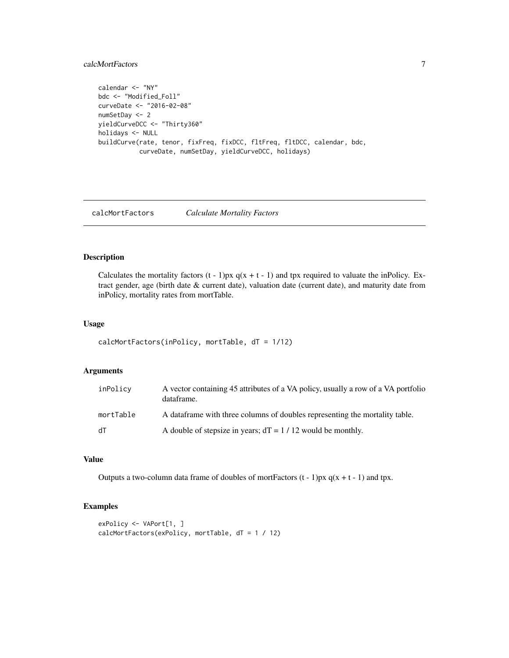## <span id="page-6-0"></span>calcMortFactors 7

```
calendar <- "NY"
bdc <- "Modified_Foll"
curveDate <- "2016-02-08"
numSetDay <- 2
yieldCurveDCC <- "Thirty360"
holidays <- NULL
buildCurve(rate, tenor, fixFreq, fixDCC, fltFreq, fltDCC, calendar, bdc,
           curveDate, numSetDay, yieldCurveDCC, holidays)
```
calcMortFactors *Calculate Mortality Factors*

## Description

Calculates the mortality factors  $(t - 1)px q(x + t - 1)$  and tpx required to valuate the inPolicy. Extract gender, age (birth date & current date), valuation date (current date), and maturity date from inPolicy, mortality rates from mortTable.

## Usage

```
calcMortFactors(inPolicy, mortTable, dT = 1/12)
```
# Arguments

| inPolicy  | A vector containing 45 attributes of a VA policy, usually a row of a VA portfolio<br>dataframe. |
|-----------|-------------------------------------------------------------------------------------------------|
| mortTable | A data frame with three columns of doubles representing the mortality table.                    |
| dT        | A double of stepsize in years; $dT = 1 / 12$ would be monthly.                                  |

# Value

Outputs a two-column data frame of doubles of mortFactors  $(t - 1)px q(x + t - 1)$  and tpx.

# Examples

```
exPolicy <- VAPort[1, ]
calcMortFactors(exPolicy, mortTable, dT = 1 / 12)
```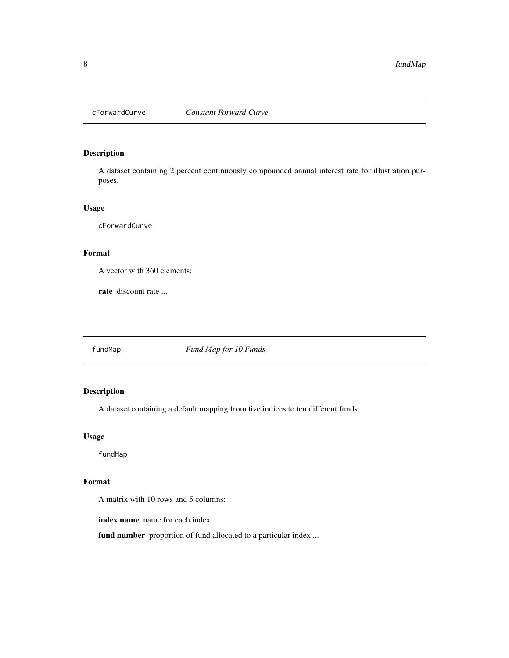<span id="page-7-0"></span>

A dataset containing 2 percent continuously compounded annual interest rate for illustration purposes.

### Usage

cForwardCurve

# Format

A vector with 360 elements:

rate discount rate ...

fundMap *Fund Map for 10 Funds*

# Description

A dataset containing a default mapping from five indices to ten different funds.

# Usage

fundMap

# Format

A matrix with 10 rows and 5 columns:

index name name for each index

fund number proportion of fund allocated to a particular index ...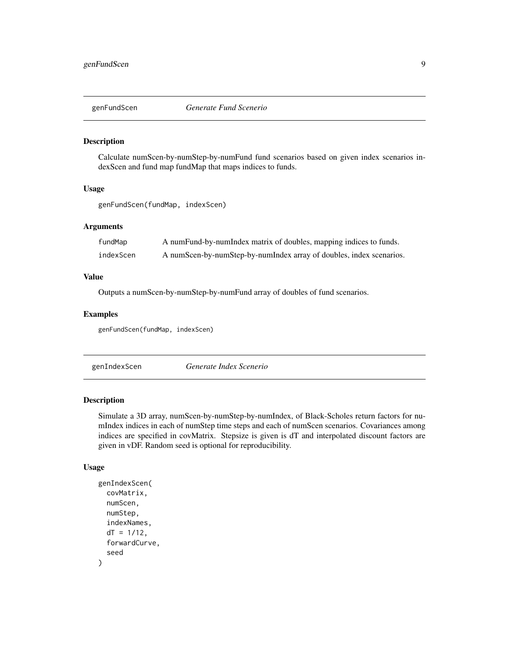<span id="page-8-0"></span>

Calculate numScen-by-numStep-by-numFund fund scenarios based on given index scenarios indexScen and fund map fundMap that maps indices to funds.

### Usage

genFundScen(fundMap, indexScen)

## Arguments

| fundMap   | A numFund-by-numIndex matrix of doubles, mapping indices to funds.  |
|-----------|---------------------------------------------------------------------|
| indexScen | A numScen-by-numStep-by-numIndex array of doubles, index scenarios. |

# Value

Outputs a numScen-by-numStep-by-numFund array of doubles of fund scenarios.

## Examples

genFundScen(fundMap, indexScen)

genIndexScen *Generate Index Scenerio*

### Description

Simulate a 3D array, numScen-by-numStep-by-numIndex, of Black-Scholes return factors for numIndex indices in each of numStep time steps and each of numScen scenarios. Covariances among indices are specified in covMatrix. Stepsize is given is dT and interpolated discount factors are given in vDF. Random seed is optional for reproducibility.

### Usage

```
genIndexScen(
  covMatrix,
  numScen,
  numStep,
  indexNames,
  dT = 1/12,
  forwardCurve,
  seed
)
```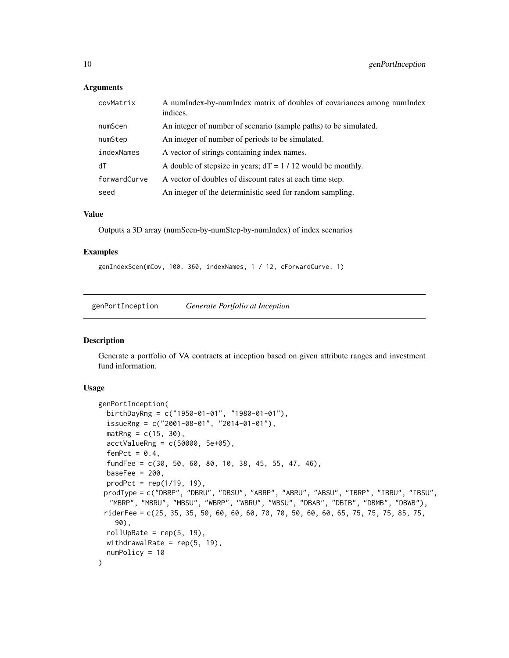## **Arguments**

| covMatrix    | A numIndex-by-numIndex matrix of doubles of covariances among numIndex<br>indices. |
|--------------|------------------------------------------------------------------------------------|
| numScen      | An integer of number of scenario (sample paths) to be simulated.                   |
| numStep      | An integer of number of periods to be simulated.                                   |
| indexNames   | A vector of strings containing index names.                                        |
| dT           | A double of stepsize in years; $dT = 1 / 12$ would be monthly.                     |
| forwardCurve | A vector of doubles of discount rates at each time step.                           |
| seed         | An integer of the deterministic seed for random sampling.                          |

### Value

Outputs a 3D array (numScen-by-numStep-by-numIndex) of index scenarios

### Examples

```
genIndexScen(mCov, 100, 360, indexNames, 1 / 12, cForwardCurve, 1)
```
genPortInception *Generate Portfolio at Inception*

# Description

Generate a portfolio of VA contracts at inception based on given attribute ranges and investment fund information.

# Usage

```
genPortInception(
 birthDayRng = c("1950-01-01", "1980-01-01"),
  issueRng = c("2001-08-01", "2014-01-01"),math>markRng = c(15, 30),
  \text{acctValueRng} = c(50000, 5e+05),femPct = 0.4,
  fundFee = c(30, 50, 60, 80, 10, 38, 45, 55, 47, 46),
 baseFee = 200,
 product = rep(1/19, 19),prodType = c("DBRP", "DBRU", "DBSU", "ABRP", "ABRU", "ABSU", "IBRP", "IBRU", "IBSU",
  "MBRP", "MBRU", "MBSU", "WBRP", "WBRU", "WBSU", "DBAB", "DBIB", "DBMB", "DBWB"),
 riderFee = c(25, 35, 35, 50, 60, 60, 60, 70, 70, 50, 60, 60, 65, 75, 75, 75, 85, 75,
   90),
 rollUpRate = rep(5, 19),
 withdrawalRate = rep(5, 19),
 numPolicy = 10
)
```
<span id="page-9-0"></span>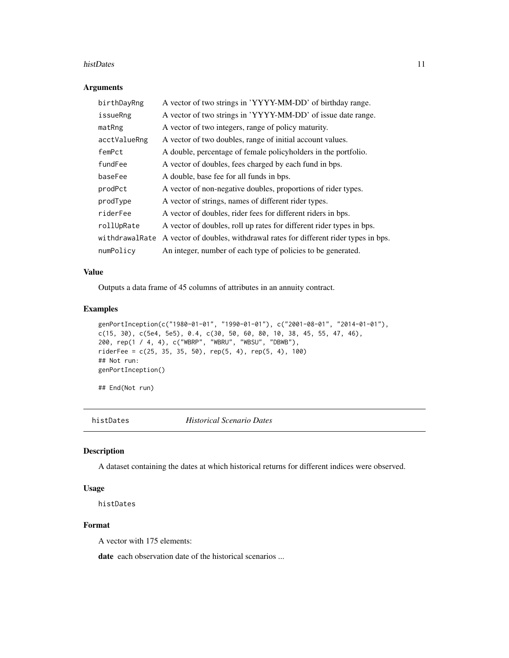### <span id="page-10-0"></span>histDates 11

### Arguments

| birthDayRng    | A vector of two strings in 'YYYY-MM-DD' of birthday range.              |
|----------------|-------------------------------------------------------------------------|
| issueRng       | A vector of two strings in 'YYYY-MM-DD' of issue date range.            |
| matRng         | A vector of two integers, range of policy maturity.                     |
| acctValueRng   | A vector of two doubles, range of initial account values.               |
| femPct         | A double, percentage of female policyholders in the portfolio.          |
| fundFee        | A vector of doubles, fees charged by each fund in bps.                  |
| baseFee        | A double, base fee for all funds in bps.                                |
| prodPct        | A vector of non-negative doubles, proportions of rider types.           |
| prodType       | A vector of strings, names of different rider types.                    |
| riderFee       | A vector of doubles, rider fees for different riders in bps.            |
| rollUpRate     | A vector of doubles, roll up rates for different rider types in bps.    |
| withdrawalRate | A vector of doubles, withdrawal rates for different rider types in bps. |
| numPolicy      | An integer, number of each type of policies to be generated.            |

### Value

Outputs a data frame of 45 columns of attributes in an annuity contract.

### Examples

```
genPortInception(c("1980-01-01", "1990-01-01"), c("2001-08-01", "2014-01-01"),
c(15, 30), c(5e4, 5e5), 0.4, c(30, 50, 60, 80, 10, 38, 45, 55, 47, 46),
200, rep(1 / 4, 4), c("WBRP", "WBRU", "WBSU", "DBWB"),
riderFee = c(25, 35, 35, 50), rep(5, 4), rep(5, 4), 100)## Not run:
genPortInception()
```
## End(Not run)

histDates *Historical Scenario Dates*

### Description

A dataset containing the dates at which historical returns for different indices were observed.

## Usage

histDates

# Format

A vector with 175 elements:

date each observation date of the historical scenarios ...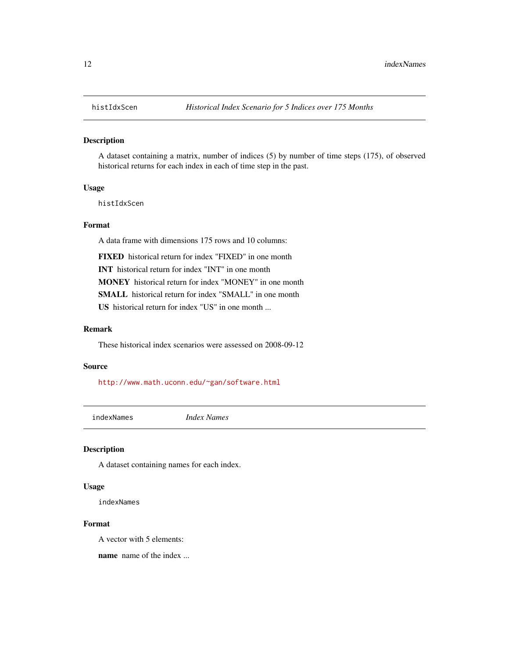<span id="page-11-0"></span>A dataset containing a matrix, number of indices (5) by number of time steps (175), of observed historical returns for each index in each of time step in the past.

### Usage

histIdxScen

# Format

A data frame with dimensions 175 rows and 10 columns:

FIXED historical return for index "FIXED" in one month

INT historical return for index "INT" in one month

MONEY historical return for index "MONEY" in one month

SMALL historical return for index "SMALL" in one month

US historical return for index "US" in one month ...

# Remark

These historical index scenarios were assessed on 2008-09-12

### Source

<http://www.math.uconn.edu/~gan/software.html>

indexNames *Index Names*

### Description

A dataset containing names for each index.

### Usage

indexNames

### Format

A vector with 5 elements:

name name of the index ...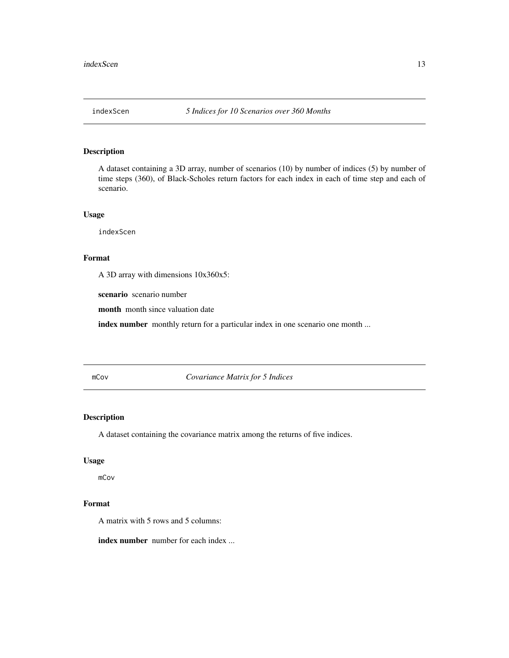<span id="page-12-0"></span>A dataset containing a 3D array, number of scenarios (10) by number of indices (5) by number of time steps (360), of Black-Scholes return factors for each index in each of time step and each of scenario.

# Usage

indexScen

### Format

A 3D array with dimensions 10x360x5:

scenario scenario number

month month since valuation date

index number monthly return for a particular index in one scenario one month ...

mCov *Covariance Matrix for 5 Indices*

## Description

A dataset containing the covariance matrix among the returns of five indices.

# Usage

mCov

# Format

A matrix with 5 rows and 5 columns:

index number number for each index ...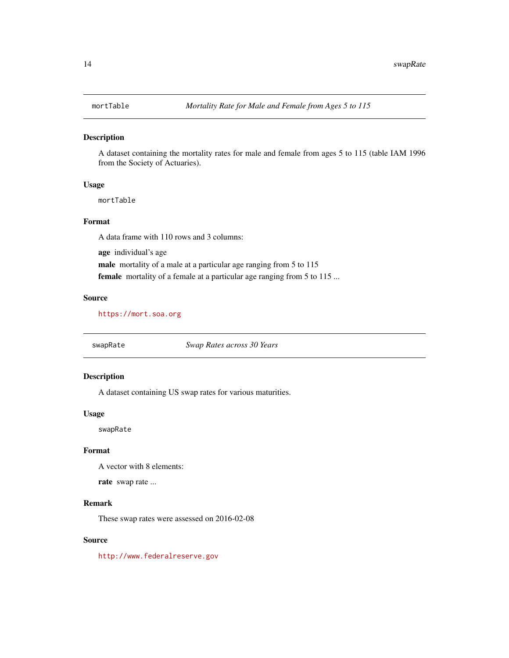<span id="page-13-0"></span>

A dataset containing the mortality rates for male and female from ages 5 to 115 (table IAM 1996 from the Society of Actuaries).

### Usage

mortTable

### Format

A data frame with 110 rows and 3 columns:

age individual's age male mortality of a male at a particular age ranging from 5 to 115 female mortality of a female at a particular age ranging from 5 to 115 ...

### Source

<https://mort.soa.org>

swapRate *Swap Rates across 30 Years*

# Description

A dataset containing US swap rates for various maturities.

### Usage

swapRate

# Format

A vector with 8 elements:

rate swap rate ...

# Remark

These swap rates were assessed on 2016-02-08

# Source

<http://www.federalreserve.gov>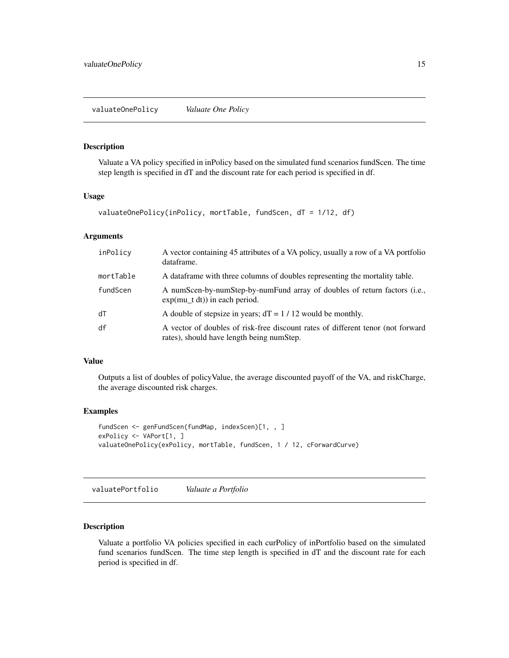<span id="page-14-0"></span>Valuate a VA policy specified in inPolicy based on the simulated fund scenarios fundScen. The time step length is specified in dT and the discount rate for each period is specified in df.

# Usage

```
valuateOnePolicy(inPolicy, mortTable, fundScen, dT = 1/12, df)
```
### **Arguments**

| inPolicy  | A vector containing 45 attributes of a VA policy, usually a row of a VA portfolio<br>dataframe.                              |
|-----------|------------------------------------------------------------------------------------------------------------------------------|
| mortTable | A data frame with three columns of doubles representing the mortality table.                                                 |
| fundScen  | A numScen-by-numStep-by-numFund array of doubles of return factors (i.e.,<br>$exp(mu_t dt))$ in each period.                 |
| dT        | A double of stepsize in years; $dT = 1 / 12$ would be monthly.                                                               |
| df        | A vector of doubles of risk-free discount rates of different tenor (not forward<br>rates), should have length being numStep. |

# Value

Outputs a list of doubles of policyValue, the average discounted payoff of the VA, and riskCharge, the average discounted risk charges.

# Examples

```
fundScen <- genFundScen(fundMap, indexScen)[1, , ]
exPolicy <- VAPort[1, ]
valuateOnePolicy(exPolicy, mortTable, fundScen, 1 / 12, cForwardCurve)
```
valuatePortfolio *Valuate a Portfolio*

### Description

Valuate a portfolio VA policies specified in each curPolicy of inPortfolio based on the simulated fund scenarios fundScen. The time step length is specified in dT and the discount rate for each period is specified in df.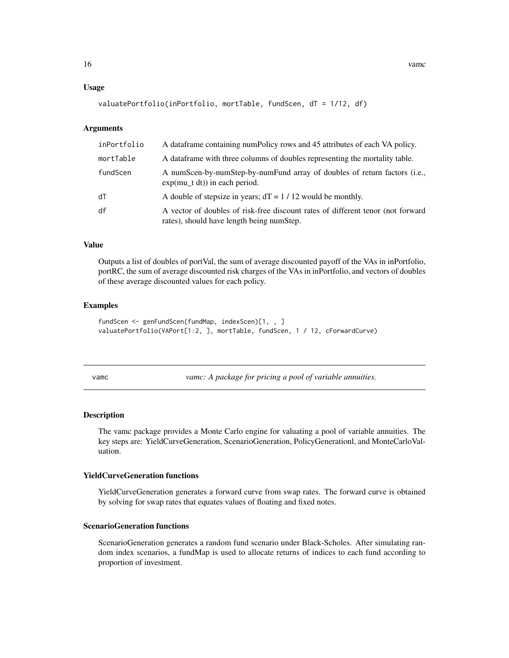### <span id="page-15-0"></span>Usage

```
valuatePortfolio(inPortfolio, mortTable, fundScen, dT = 1/12, df)
```
### Arguments

| inPortfolio | A data frame containing numPolicy rows and 45 attributes of each VA policy.                                                  |
|-------------|------------------------------------------------------------------------------------------------------------------------------|
| mortTable   | A data frame with three columns of doubles representing the mortality table.                                                 |
| fundScen    | A numScen-by-numStep-by-numFund array of doubles of return factors (i.e.,<br>$exp(mu_t dt))$ in each period.                 |
| ďТ          | A double of stepsize in years; $dT = 1 / 12$ would be monthly.                                                               |
| df          | A vector of doubles of risk-free discount rates of different tenor (not forward<br>rates), should have length being numStep. |

### Value

Outputs a list of doubles of portVal, the sum of average discounted payoff of the VAs in inPortfolio, portRC, the sum of average discounted risk charges of the VAs in inPortfolio, and vectors of doubles of these average discounted values for each policy.

# Examples

```
fundScen <- genFundScen(fundMap, indexScen)[1, , ]
valuatePortfolio(VAPort[1:2, ], mortTable, fundScen, 1 / 12, cForwardCurve)
```
vamc *vamc: A package for pricing a pool of variable annuities.*

### Description

The vamc package provides a Monte Carlo engine for valuating a pool of variable annuities. The key steps are: YieldCurveGeneration, ScenarioGeneration, PolicyGenerationl, and MonteCarloValuation.

### YieldCurveGeneration functions

YieldCurveGeneration generates a forward curve from swap rates. The forward curve is obtained by solving for swap rates that equates values of floating and fixed notes.

### ScenarioGeneration functions

ScenarioGeneration generates a random fund scenario under Black-Scholes. After simulating random index scenarios, a fundMap is used to allocate returns of indices to each fund according to proportion of investment.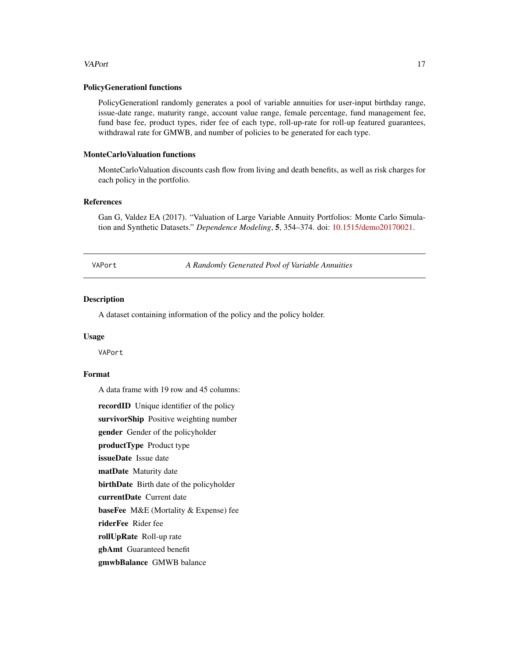### <span id="page-16-0"></span>VAPort 17

### PolicyGenerationl functions

PolicyGenerationl randomly generates a pool of variable annuities for user-input birthday range, issue-date range, maturity range, account value range, female percentage, fund management fee, fund base fee, product types, rider fee of each type, roll-up-rate for roll-up featured guarantees, withdrawal rate for GMWB, and number of policies to be generated for each type.

### MonteCarloValuation functions

MonteCarloValuation discounts cash flow from living and death benefits, as well as risk charges for each policy in the portfolio.

# References

Gan G, Valdez EA (2017). "Valuation of Large Variable Annuity Portfolios: Monte Carlo Simulation and Synthetic Datasets." *Dependence Modeling*, 5, 354–374. doi: [10.1515/demo20170021.](https://doi.org/10.1515/demo-2017-0021)

VAPort *A Randomly Generated Pool of Variable Annuities*

### Description

A dataset containing information of the policy and the policy holder.

### Usage

VAPort

# Format

A data frame with 19 row and 45 columns:

recordID Unique identifier of the policy survivorShip Positive weighting number gender Gender of the policyholder productType Product type issueDate Issue date matDate Maturity date birthDate Birth date of the policyholder currentDate Current date baseFee M&E (Mortality & Expense) fee riderFee Rider fee rollUpRate Roll-up rate gbAmt Guaranteed benefit gmwbBalance GMWB balance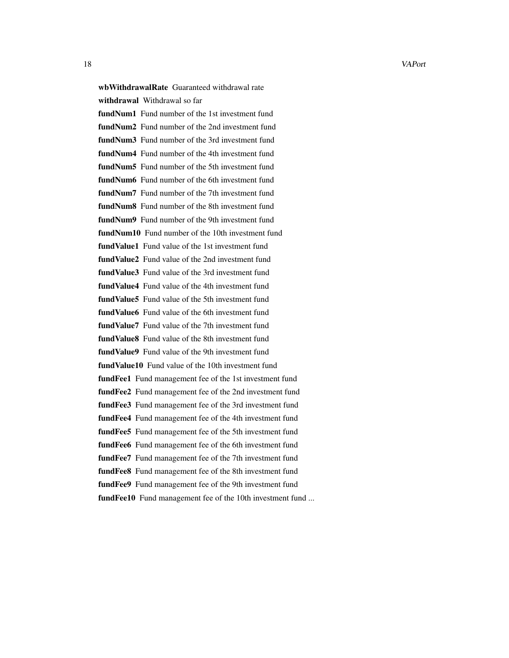18 VAPort

wbWithdrawalRate Guaranteed withdrawal rate withdrawal Withdrawal so far fundNum1 Fund number of the 1st investment fund fundNum2 Fund number of the 2nd investment fund fundNum3 Fund number of the 3rd investment fund fundNum4 Fund number of the 4th investment fund fundNum5 Fund number of the 5th investment fund fundNum6 Fund number of the 6th investment fund fundNum7 Fund number of the 7th investment fund fundNum8 Fund number of the 8th investment fund fundNum9 Fund number of the 9th investment fund fundNum10 Fund number of the 10th investment fund fund Value<sup>1</sup> Fund value of the 1st investment fund fund Value<sub>2</sub> Fund value of the 2nd investment fund fund Value 3 Fund value of the 3rd investment fund **fundValue4** Fund value of the 4th investment fund fund Value<sup>5</sup> Fund value of the 5th investment fund fund Value6 Fund value of the 6th investment fund fund Value7 Fund value of the 7th investment fund fund Value8 Fund value of the 8th investment fund fund Value9 Fund value of the 9th investment fund fundValue10 Fund value of the 10th investment fund fundFee1 Fund management fee of the 1st investment fund fundFee2 Fund management fee of the 2nd investment fund fundFee3 Fund management fee of the 3rd investment fund fundFee4 Fund management fee of the 4th investment fund fundFee5 Fund management fee of the 5th investment fund fundFee6 Fund management fee of the 6th investment fund fundFee7 Fund management fee of the 7th investment fund fundFee8 Fund management fee of the 8th investment fund fundFee9 Fund management fee of the 9th investment fund fundFee10 Fund management fee of the 10th investment fund ...